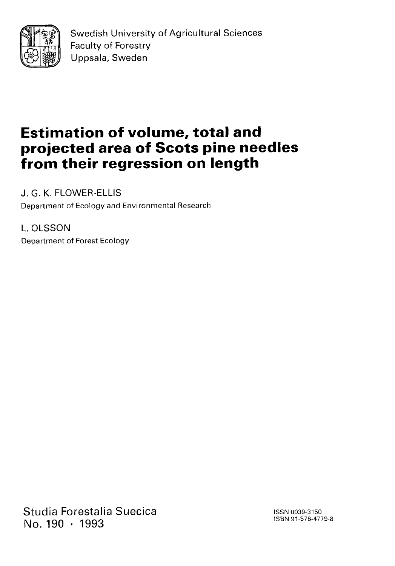

Swedish University of Agricultural Sciences Faculty of Forestry Uppsala, Sweden

# **Estimation of volume, total and projected area of Scots pine needles from their regression on length**

J. G. K. FLOWER-ELLIS Department of Ecology and Environmental Research

L. OLSSON Department of Forest Ecology

Studia Forestalia Suecica No. 190 · 1993

ISSN 0039-3150 ISBN 91-576-4779-8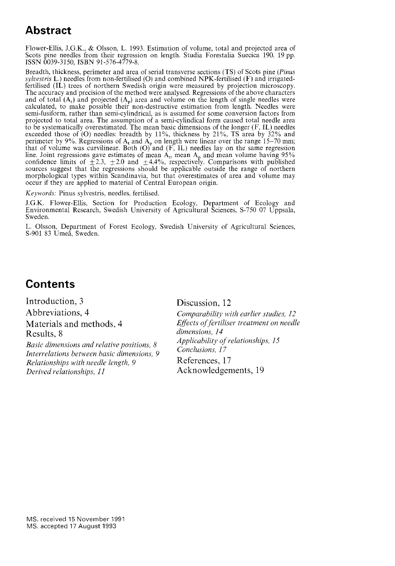### **Abstract**

Flower-Ellis, J.G.K., & Olsson, L. 1993. Estimation of volume, total and projected area of Scots pine needles from their regression on length. Studia Forestalia Suecica 190. 19 pp. ISSN 0039-3150, ISBN 91-576-4779-8.

Breadth, thickness, perimeter and area of serial transverse sections (TS) of Scots pine *(Pinus sylvestris* L.) needles from non-fertilised (0) and combined NPK-fertilised (F) and irrigatedfertilised (IL) trees of northern Swedish origin were measured by projection microscopy. The accuracy and precision of the method were analysed. Regressions of the above characters and of total  $(A_t)$  and projected  $(A_p)$  area and volume on the length of single needles were calculated, to make possible their non-destructive estimation from length. Needles were semi-fusiform, rather than semi-cylindrical, as is assumed for some conversion factors from projected to total area. The assumption of a semi-cylindical form caused total needle area to be systematically overestimated. The mean basic dimensions of the longer  $(F, IL)$  needles exceeded those of (0) needles: breadth by 11%, thickness by 21%, TS area by 32% and perimeter by 9%. Regressions of  $A_t$  and  $A_p$  on length were linear over the range 15–70 mm; that of volume was curvilinear. Both (O) and (F, IL) needles lay on the same regression line. Joint regressions gave estimates of mean  $A_t$ , mean  $A_p$  and mean volume having 95% confidence limits of  $\pm 2.3$ ,  $\pm 2.0$  and  $\pm 4.4\%$ , respectively. Comparisons with published sources suggest that the regressio morphological types within Scandinavia, but that overestimates of area and volume may occur if they are applied to material of Central European origin.

Keywords: Pinus sylvestris, needles, fertilised.

J.G.K. Flower-Ellis, Section for Production Ecology, Department of Ecology and Environmental Research, Swedish University of Agricultural Sciences, S-750 07 Uppsala, Sweden.

L. Olsson, Department of Forest Ecology, Swedish University of Agricultural Sciences, S-901 83 Umeå, Sweden.

### **Contents**

Introduction, 3 Discussion, 12 Abbreviations, 4 *Comparability with earlier studies, 12*  Materials and methods, 4 *Effects of fertiliser treatment on needle*  Results, 8<br>*Resis dimensions and polative positions* 8<br>*Applicability of relationships, 15 Basic dimensions and relative positions, 8 Applicability of relations, 17 Interrelations between basic dimensions, 9 Conclusions, 17 Relationships with needle length* 9 *References, 17 Relationships with needle length, 9*<br>*Derived relationships, 11* 

Acknowledgements, 19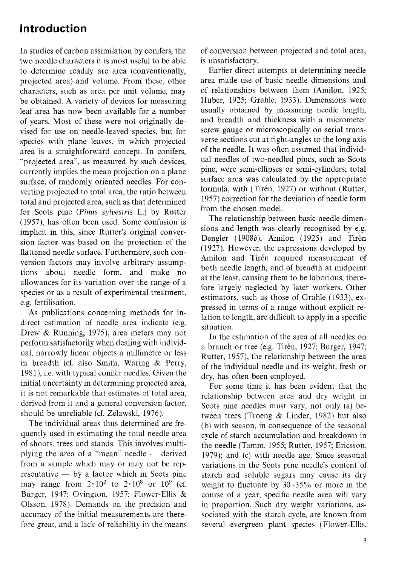### **Introduction**

In studies of carbon assimilation by conifers, the two needle characters it is most useful to be able to determine readily are area (conventionally, projected area) and volume. From these, other characters, such as area per unit volume, may be obtained. A variety of devices for measuring leaf area has now been available for a number of years. Most of these were not originally devised for use on needle-leaved species, but for species with plane leaves, in which projected area is a straightforward concept. In conifers, "projected area", as measured by such devices, currently implies the mean projection on a plane surface, of randomly oriented needles. For converting projected to total area, the ratio between total and projected area, such as that determined for Scots pine (Pinus sylvestris L.) by Rutter (1957), has often been used. Some confusion is implicit in this, since Rutter's original conversion factor was based on the projection of the flattened needle surface. Furthermore, such conversion factors may involve arbitrary assumptions about needle form, and make no allowances for its variation over the range of a species or as a result of experimental treatment, e.g. fertilisation.

As publications concerning methods for indirect estimation of needle area indicate (e.g. Drew & Running, 1975), area meters may not perform satisfactorily when dealing with individual, narrowly linear objects a millimetre or less in breadth (cf. also Smith, Waring & Perry, 1981), i.e. with typical conifer needles. Given the initial uncertainty in determining projected area, it is not remarkable that estimates of total area, derived from it and a general conversion factor, should be unreliable (cf. Zelawski, 1976).

The individual areas thus determined are frequently used in estimating the total needle area of shoots, trees and stands. This involves multiplying the area of a "mean" needle — derived from a sample which may or may not be rep $r$ esentative  $\frac{1}{r}$  by a factor which in Scots pine may range from  $2 \cdot 10^2$  to  $2 \cdot 10^8$  or  $10^{9}$  (cf. Burger, 1947; Ovington, 1957; Flower-Ellis & Olsson, 1978). Demands on the precision and accuracy of the initial measurements are therefore great, and a lack of reliability in the means of conversion between projected and total area, is unsatisfactory.

Earlier direct attempts at determining needle area made use of basic needle dimensions and of relationships between them (Amilon, 1925; Huber, 1925; Grahle, 1933). Dimensions were usually obtained by measuring needle length, and breadth and thickness with a micrometer screw gauge or microscopically on serial transverse sections cut at right-angles to the long axis of the needle. It was often assumed that individual needles of two-needled pines, such as Scots pine, were semi-ellipses or semi-cylinders; total surface area was calculated by the appropriate formula, with (Tirén, 1927) or without (Rutter, 1957) correction for the deviation of needle form from the chosen model.

The relationship between basic needle dimensions and length was clearly recognised by e.g. Dengler (1908b), Amilon (1925) and Tirén (1927). However, the expressions developed by Amilon and Tirén required measurement of both needle length, and of breadth at midpoint at the least, causing them to be laborious, therefore largely neglected by later workers. Other estimators, such as those of Grahle (1933), expressed in terms of a range without explicit relation to length, are difficult to apply in a specific situation.

In the estimation of the area of all needles on a branch or tree (e.g. Tirén, 1927; Burger, 1947; Rutter, 1957), the relationship between the area of the individual needle and its weight, fresh or dry, has often been employed.

For some time it has been evident that the relationship between area and dry weight in Scots pine needles must vary, not only (a) between trees (Troeng & Linder, 1982) but also (b) with season, in consequence of the seasonal cycle of starch accumulation and breakdown in the needle (Tamm, 1955; Rutter, 1957; Ericsson, 1979); and (c) with needle age. Since seasonal variations in the Scots pine needle's content of starch and soluble sugars may cause its dry weight to fluctuate by 30-35% or more in the course of a year, specific needle area will vary in proportion. Such dry weight variations, associated with the starch cycle, are known from several evergreen plant species (Flower-Ellis,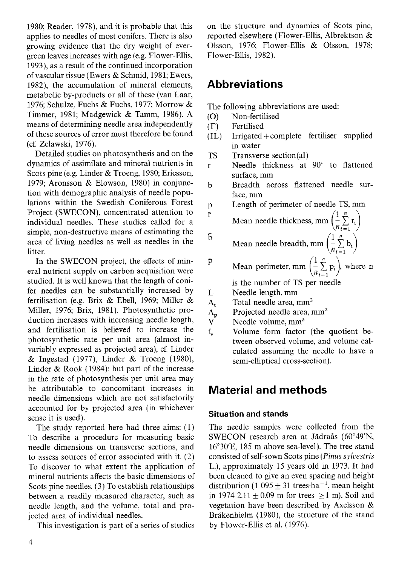1980; Reader, 1978), and it is probable that this applies to needles of most conifers. There is also growing evidence that the dry weight of evergreen leaves increases with age (e.g. Flower-Ellis, 1993), as a result of the continued incorporation of vascular tissue (Ewers & Schmid, 1981; Ewers, 1982), the accumulation of mineral elements, metabolic by-products or all of these (van Laar, 1976; Schulze, Fuchs & Fuchs, 1977; Morrow & Timmer, 1981; Madgewick & Tamm, 1986). A means of determining needle area independently of these sources of error must therefore be found (cf. Zelawski, 1976).

Detailed studies on photosynthesis and on the dynamics of assimilate and mineral nutrients in Scots pine (e.g. Linder & Troeng, 1980; Ericsson, 1979; Aronsson & Elowson, 1980) in conjunction with demographic analysis of needle populations within the Swedish Coniferous Forest Project (SWECON), concentrated attention to individual needles. These studies called for a simple, non-destructive means of estimating the area of living needles as well as needles in the litter.

In the SWECON project, the effects of mineral nutrient supply on carbon acquisition were studied. It is well known that the length of conifer needles can be substantially increased by fertilisation (e.g. Brix & Ebell, 1969; Miller & Miller, 1976; Brix, 1981). Photosynthetic production increases with increasing needle length, and fertilisation is believed to increase the photosynthetic rate per unit area (almost invariably expressed as projected area), cf. Linder & Ingestad (1977), Linder & Troeng (1980), Linder & Rook (1984): but part of the increase in the rate of photosynthesis per unit area may be attributable to concomitant increases in needle dimensions which are not satisfactorily accounted for by projected area (in whichever sense it is used).

The study reported here had three aims: (1) To describe a procedure for measuring basic needle dimensions on transverse sections, and to assess sources of error associated with it. (2) To discover to what extent the application of mineral nutrients affects the basic dimensions of Scots pine needles. (3) To establish relationships between a readily measured character, such as needle length, and the volume, total and projected area of individual needles.

This investigation is part of a series of studies

on the structure and dynamics of Scots pine, reported elsewhere (Flower-Ellis, Albrektson & Olsson, 1976; Flower-Ellis & Olsson, 1978; Flower-Ellis, 1982).

### **Abbreviations**

The following abbreviations are used:

- (0) Non-fertilised
- (F) Fertilised

 $\overline{\Gamma}$ 

- (IL) Irrigated +complete fertiliser supplied in water
- **TS** Transverse section(a1)
- Needle thickness at 90° to flattened  $\mathbf{r}$ surface, mm
- b Breadth across flattened needle surface, mm

Length of perimeter of needle TS, mm p

- Mean needle thickness, mm  $\left(\frac{1}{n}\sum_{i=1}^{n} r_i\right)$
- Б Mean needle breadth, mm  $\left(\frac{1}{n}\sum_{i=1}^{n} b_i\right)$
- Mean perimeter, mm  $\left(\frac{1}{n}\sum_{i=1}^{n}p_i\right)$ , where n p.

is the number of TS per needle

- Ĭ. Needle length, mm
- Total needle area, mm<sup>2</sup>  $A_t$
- Projected needle area, mm<sup>2</sup>
- $\overline{A_p}$ <br>V Needle volume, mm<sup>3</sup>
- f. Volume form factor (the quotient between observed volume, and volume calculated assuming the needle to have a semi-elliptical cross-section).

## **Material and methods**

### **Situation and stands**

The needle samples were collected from the SWECON research area at Jädraås (60°49'N,  $16^{\circ}30'E$ , 185 m above sea-level). The tree stand consisted of self-sown Scots pine (Pinus sylvestris L.), approximately 15 years old in 1973. It had been cleaned to give an even spacing and height distribution (1 095  $\pm$  31 trees ha<sup>-1</sup>, mean height in 1974 2.11  $\pm$  0.09 m for trees  $\geq$  1 m). Soil and vegetation have been described by Axelsson  $\&$ Bråkenhielm (1980), the structure of the stand by Flower-Ellis et al. (1976).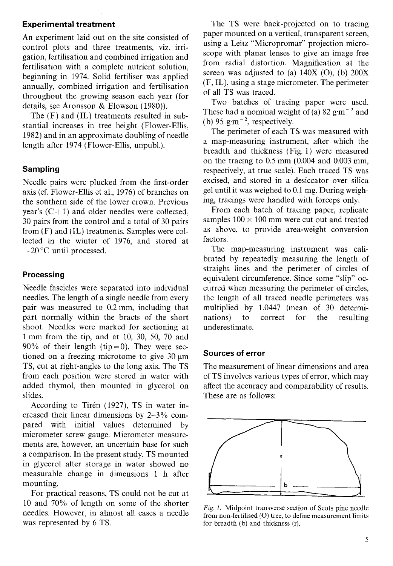#### **Experimental treatment**

An experiment laid out on the site consisted of control plots and three treatments, viz. irrigation, fertilisation and combined irrigation and fertilisation with a complete nutrient solution, beginning in 1974. Solid fertiliser was applied annually, combined irrigation and fertilisation throughout the growing season each year (for details, see Aronsson & Elowson (1980)).

The (F) and (IL) treatments resulted in substantial increases in tree height (Flower-Ellis, 1982) and in an approximate doubling of needle length after 1974 (Flower-Ellis, unpubl.).

#### **Sampling**

Needle pairs were plucked from the first-order axis (cf. Flower-Ellis et al., 1976) of branches on the southern side of the lower crown. Previous year's  $(C+1)$  and older needles were collected, 30 pairs from the control and a total of 30 pairs from (F) and (IL) treatments. Samples were collected in the winter of 1976, and stored at  $-20$  °C until processed.

#### **Processing**

Needle fascicles were separated into individual needles. The length of a single needle from every pair was measured to 0.2 mm, including that part normally within the bracts of the short shoot. Needles were marked for sectioning at 1 mm from the tip, and at 10, 30, 50, 70 and 90% of their length (tip=0). They were sectioned on a freezing microtome to give  $30 \mu m$ TS, cut at right-angles to the long axis. The TS from each position were stored in water with added thymol, then mounted in glycerol on slides.

According to Tirén (1927), TS in water increased their linear dimensions by 2-3% compared with initial values determined by micrometer screw gauge. Micrometer measurements are, however, an uncertain base for such a comparison. In the present study, TS mounted in glycerol after storage in water showed no measurable change in dimensions 1 h after mounting.

For practical reasons, TS could not be cut at 10 and 70% of length on some of the shorter needles. However, in almost all cases a needle was represented by *6* TS.

The TS were back-projected on to tracing paper mounted on a vertical, transparent screen, using a Leitz "Micropromar" projection microscope with planar lenses to give an image free from radial distortion. Magnification at the screen was adjusted to (a)  $140X$  (O), (b)  $200X$ (F, IL), using a stage micrometer. The perimeter of all TS was traced.

Two batches of tracing paper were used. These had a nominal weight of (a)  $82 \text{ g} \cdot \text{m}^{-2}$  and (b) 95 g $\rm \,m^{-2}$ , respectively.

The perimeter of each TS was measured with a map-measuring instrument, after which the breadth and thickness (Fig. 1) were measured on the tracing to 0.5 mm (0.004 and 0.003 mm, respectively, at true scale). Each traced TS was excised, and stored in a desiccator over silica gel until it was weighed to 0.1 mg. During weighing, tracings were handled with forceps only.

From each batch of tracing paper, replicate samples  $100 \times 100$  mm were cut out and treated as above, to provide area-weight conversion factors.

The map-measuring instrument was calibrated by repeatedly measuring the length of straight lines and the perimeter of circles of equivalent circumference. Since some "slip" occurred when measuring the perimeter of circles, the length of all traced needle perimeters was multiplied by 1.0447 (mean of 30 determinations) to correct for the resulting underestimate.

#### **Sources of error**

The measurement of linear dimensions and area of TS involves various types of error, which may affect the accuracy and comparability of results. These are as follows:



**Fig.** 1. Midpoint transverse section of Scots pine needle from non-fertilised (0) tree, to define measurement limits for breadth (b) and thickness (r).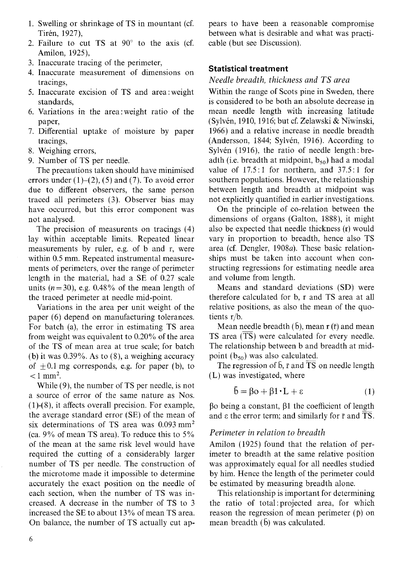- 1. Swelling or shrinkage of TS in mountant (cf. Tirén, 1927),
- 2. Failure to cut TS at  $90^\circ$  to the axis (cf. Amilon, 1925),
- 3. Inaccurate tracing of the perimeter,
- Inaccurate measurement of dimensions on tracings,
- Inaccurate excision of TS and area: weight standards,
- Variations in the area: weight ratio of the paper,
- Differential uptake of moisture by paper tracings,
- Weighing errors,
- 9. Number of TS per needle.

The precautions taken should have minimised errors under  $(1)$ – $(2)$ ,  $(5)$  and  $(7)$ . To avoid error due to different observers, the same person traced all perimeters (3). Observer bias may have occurred, but this error component was not analysed.

The precision of measurents on tracings (4) lay within acceptable limits. Repeated linear measurements by ruler, e.g. of b and r, were within 0.5 mm. Repeated instrumental measurements of perimeters, over the range of perimeter length in the material, had a SE of 0.27 scale units  $(n=30)$ , e.g. 0.48% of the mean length of the traced perimeter at needle mid-point.

Variations in the area per unit weight of the paper (6) depend on manufacturing tolerances. For batch (a), the error in estimating TS area from weight was equivalent to 0.20% of the area of the TS of mean area at true scale; for batch (b) it was 0.39%. As to (8), a weighing accuracy of  $\pm 0.1$  mg corresponds, e.g. for paper (b), to  $< 1$  mm<sup>2</sup>.

While (9), the number of TS per needle, is not a source of error of the same nature as Nos. (1)-(8), it affects overall precision. For example, the average standard error (SE) of the mean of six determinations of TS area was 0.093 mm<sup>2</sup> (ca. 9% of mean TS area). To reduce this to 5% of the mean at the same risk level would have required the cutting of a considerably larger number of TS per needle. The construction of the microtome made it impossible to determine accurately the exact position on the needle of each section, when the number of TS was increased. A decrease in the number of TS to 3 increased the SE to about 13% of mean TS area. On balance, the number of TS actually cut ap-

pears to have been a reasonable compromise between what is desirable and what was practicable (but see Discussion).

#### **Statistical treatment**

#### *Needle breadth, thickness and TS area*

Within the range of Scots pine in Sweden, there is considered to be both an absolute decrease in mean needle length with increasing latitude (Sylven, 1910, 1916; but cf. Zelawski & Niwinski, 1966) and a relative increase in needle breadth (Andersson, 1844; Sylvén, 1916). According to Sylvén (1916), the ratio of needle length: breadth (i.e. breadth at midpoint,  $b_{50}$ ) had a modal value of  $17.5:1$  for northern, and  $37.5:1$  for southern populations. However, the relationship between length and breadth at midpoint was not explicitly quantified in earlier investigations.

On the principle of co-relation between the dimensions of organs (Galton, 1888), it might also be expected that needle thickness (r) would vary in proportion to breadth, hence also TS area (cf. Dengler, 1908 $a$ ). These basic relationships must be taken into account when constructing regressions for estimating needle area and volume from length.

Means and standard deviations (SD) were therefore calculated for b, r and TS area at all relative positions, as also the mean of the quotients r/b.

Mean needle breadth  $(\bar{b})$ , mean r  $(\bar{r})$  and mean TS area  $(\overline{TS})$  were calculated for every needle. The relationship between b and breadth at midpoint  $(b_{50})$  was also calculated.

The regression of  $\bar{b}$ ,  $\bar{r}$  and  $\bar{TS}$  on needle length (L) was investigated, where

$$
\bar{\mathbf{b}} = \beta \mathbf{o} + \beta \mathbf{1} \cdot \mathbf{L} + \varepsilon \tag{1}
$$

 $\beta$ o being a constant,  $\beta$ 1 the coefficient of length and  $\varepsilon$  the error term; and similarly for  $\bar{r}$  and  $\bar{TS}$ .

#### *Perimeter in relation to breadth*

Amilon (1925) found that the relation of perimeter to breadth at the same relative position was approximately equal for all needles studied by him. Hence the length of the perimeter could be estimated by measuring breadth alone.

This relationship is important for determining the ratio of tota1:projected area, for which reason the regression of mean perimeter  $(\bar{p})$  on mean breadth  $(b)$  was calculated.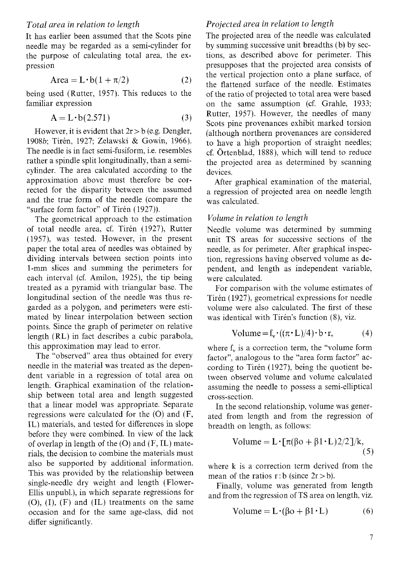It has earlier been assumed that the Scots pine needle may be regarded as a semi-cylinder for the purpose of calculating total area, the expression

$$
Area = L \cdot b(1 + \pi/2)
$$
 (2)

being used (Rutter, 1957). This reduces to the familiar expression

$$
A = L \cdot b(2.571) \tag{3}
$$

However, it is evident that  $2r > b$  (e.g. Dengler, 1908b; Tirén, 1927; Zelawski & Gowin, 1966). The needle is in fact semi-fusiform, i.e. resembles rather a spindle split longitudinally, than a semicylinder. The area calculated according to the approximation above must therefore be corrected for the disparity between the assumed and the true form of the needle (compare the "surface form factor" of Tirén (1927)).

The geometrical approach to the estimation of total needle area, cf. Tirén (1927), Rutter (1957), was tested. However, in the present paper the total area of needles was obtained by dividing intervals between section points into 1-mm slices and summing the perimeters for each interval (cf. Amilon, 1925), the tip being treated as a pyramid with triangular base. The longitudinal section of the needle was thus regarded as a polygon, and perimeters were estimated by linear interpolation between section points. Since the graph of perimeter on relative length (RL) in fact describes a cubic parabola, this approximation may lead to error.

The "observed" area thus obtained for every needle in the material was treated as the dependent variable in a regression of total area on length. Graphical examination of the relationship between total area and length suggested that a linear model was appropriate. Separate regressions were calculated for the (0) and (F, IL) materials, and tested for differences in slope before they were combined. In view of the lack of overlap in length of the  $(O)$  and  $(F, IL)$  materials, the decision to combine the materials must also be supported by additional information. This was provided by the relationship between single-needle dry weight and length (Flower-Ellis unpubl.), in which separate regressions for  $(O)$ ,  $(I)$ ,  $(F)$  and  $(IL)$  treatments on the same occasion and for the same age-class, did not differ significantly.

#### *Projected area in relation to length*

The projected area of the needle was calculated by summing successive unit breadths (b) by sections, as described above for perimeter. This presupposes that the projected area consists of the vertical projection onto a plane surface, of the flattened surface of the needle. Estimates of the ratio of projected to total area were based on the same assumption (cf. Grahle, 1933; Rutter, 1957). However, the needles of many Scots pine provenances exhibit marked torsion (although northern provenances are considered to have a high proportion of straight needles; cf. Ortenblad, 1888), which will tend to reduce the projected area as determined by scanning devices.

After graphical examination of the material, a regression of projected area on needle length was calculated.

#### *Volume in relation to length*

Needle volume was determined by summing unit TS areas for successive sections of the needle, as for perimeter. After graphical inspection, regressions having observed volume as dependent, and length as independent variable, were calculated.

For comparison with the volume estimates of Tirén (1927), geometrical expressions for needle volume were also calculated. The first of these was identical with Tirén's function (8), viz.

Volume = 
$$
f_v \cdot ((\pi \cdot L)/4) \cdot b \cdot r,
$$
 (4)

where  $f_v$  is a correction term, the "volume form factor", analogous to the "area form factor" according to Tirén (1927), being the quotient between observed volume and volume calculated assuming the needle to possess a semi-elliptical cross-section.

In the second relationship, volume was generated from length and from the regression of breadth on length, as follows:

Volume = 
$$
L \cdot [\pi(\beta o + \beta 1 \cdot L)2/2]/k
$$
, (5)

where k is a correction term derived from the mean of the ratios  $r:b$  (since  $2r > b$ ).

Finally, volume was generated from length and from the regression of TS area on length, viz.

$$
Volume = L \cdot (\beta o + \beta 1 \cdot L) \tag{6}
$$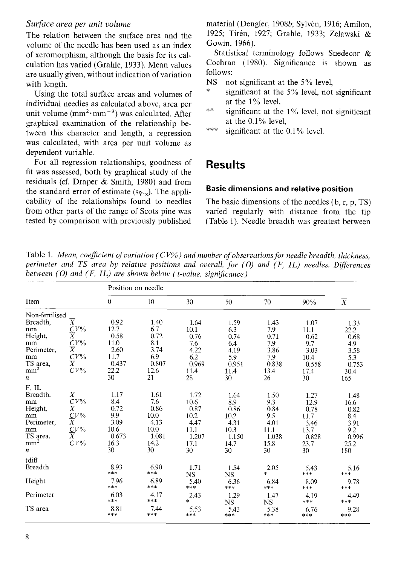#### *Surface area per unit volume*

The relation between the surface area and the volume of the needle has been used as an index of xeromorphism, although the basis for its calculation has varied (Grahle, 1933). Mean values are usually given, without indication of variation with length.

Using the total surface areas and volumes of individual needles as calculated above, area per unit volume  $(mm^2·mm^{-3})$  was calculated. After graphical examination of the relationship between this character and length, a regression was calculated, with area per unit volume as dependent variable.

For all regression relationships, goodness of fit was assessed, both by graphical study of the residuals (cf. Draper & Smith, 1980) and from the standard error of estimate  $(s_{\bar{Y} \cdot x})$ . The applicability of the relationships found to needles from other parts of the range of Scots pine was tested by comparison with previously published material (Dengler, 1908b; Sylvén, 1916; Amilon, 1925; Tirén, 1927; Grahle, 1933; Zelawski & Gowin, 1966).

Statistical terminology follows Snedecor & Cochran (1980). Significance is shown as follows:<br>NS nc

- not significant at the 5% level,<br>significant at the 5% level, not significant<br>at the 1% level.
- \*\* significant at the  $1\%$  level, not significant at the 0.1% level,
- \*\*\* significant at the  $0.1\%$  level.

### **Results**

#### **Basic dimensions and relative position**

The basic dimensions of the needles (b, r, p, TS) varied regularly with distance from the tip (Table 1). Needle breadth was greatest between

Table 1. *Mean, coefficient of variation (CV%) and number of observations for needle breadth, thickness, perimeter and TS area by relative positions and overall, for (0) and (F, IL) needles. Diferences between (0) and (F, IL) are shown below (t-value, signijficance)* 

|                                                                                                                          |                                                                                                                   | Position on needle                                                  |                                                                    |                                                                     |                                                                    |                                                                   |                                                                     |                                                                    |  |
|--------------------------------------------------------------------------------------------------------------------------|-------------------------------------------------------------------------------------------------------------------|---------------------------------------------------------------------|--------------------------------------------------------------------|---------------------------------------------------------------------|--------------------------------------------------------------------|-------------------------------------------------------------------|---------------------------------------------------------------------|--------------------------------------------------------------------|--|
| Item                                                                                                                     |                                                                                                                   | $\mathbf{0}$                                                        | 10                                                                 | 30                                                                  | 50                                                                 | 70                                                                | 90%                                                                 | $\overline{X}$                                                     |  |
| Non-fertilised<br>Breadth,<br>mm<br>Height,<br>mm<br>Perimeter,<br>mm<br>TS area,<br>mm <sup>2</sup><br>$\boldsymbol{n}$ | $\overline{X}$<br>$\frac{C V^{\prime\prime_{0}}}{X}$<br>$\frac{C}{X}V\%$<br>$\frac{\overline{C}}{X}V\%$<br>$CV\%$ | 0.92<br>12.7<br>0.58<br>11.0<br>2.60<br>11.7<br>0.437<br>22.2<br>30 | 1.40<br>6.7<br>0.72<br>8.1<br>3.74<br>6.9<br>0.807<br>12.6<br>21   | 1.64<br>10.1<br>0.76<br>7.6<br>4.22<br>6.2<br>0.969<br>11.4<br>28   | 1.59<br>6.3<br>0.74<br>6.4<br>4.19<br>5.9<br>0.951<br>11.4<br>30   | 1.43<br>7.9<br>0.71<br>7.9<br>3.86<br>7.9<br>0.838<br>13.4<br>26  | 1.07<br>11.1<br>0.62<br>9.7<br>3.03<br>10.4<br>0.558<br>17.4<br>30  | 1.33<br>22.2<br>0.68<br>4.9<br>3.58<br>5.3<br>0.753<br>30.4<br>165 |  |
| F, IL<br>Breadth.<br>mm<br>Height,<br>mm<br>Perimeter,<br>mm<br>TS area,<br>mm <sup>2</sup><br>$\boldsymbol{n}$          | $\overline{X}$<br>$\frac{C V\%}{X}$<br>$\frac{C V\%}{X}$<br>$\frac{\overline{C}}{X}V\%$<br>CV <sup>0</sup>        | 1.17<br>8.4<br>0.72<br>9.9<br>3.09<br>10.6<br>0.673<br>16.3<br>30   | 1.61<br>7.6<br>0.86<br>10.0<br>4.13<br>10.0<br>1.081<br>14.2<br>30 | 1.72<br>10.6<br>0.87<br>10.2<br>4.47<br>11.1<br>1.207<br>17.1<br>30 | 1.64<br>8.9<br>0.86<br>10.2<br>4.31<br>10.3<br>1.150<br>14.7<br>30 | 1.50<br>9.3<br>0.84<br>9.5<br>4.01<br>11.1<br>1.038<br>15.8<br>30 | 1.27<br>12.9<br>0.78<br>11.7<br>3.46<br>13.7<br>0.828<br>23.7<br>30 | 1.48<br>16.6<br>0.82<br>8.4<br>3.91<br>9.2<br>0.996<br>25.2<br>180 |  |
| tdiff<br><b>Breadth</b><br>Height                                                                                        |                                                                                                                   | 8.93<br>***<br>7.96                                                 | 6.90<br>$***$<br>6.89                                              | 1.71<br>$_{\rm NS}$<br>5.40                                         | 1.54<br><b>NS</b><br>6.36                                          | 2.05<br>÷.<br>6.84                                                | 5.43<br>***<br>8.09                                                 | 5.16<br>***<br>9.78                                                |  |
| Perimeter<br>TS area                                                                                                     |                                                                                                                   | ***<br>6.03<br>***<br>8.81<br>***                                   | $***$<br>4.17<br>$****$<br>7.44<br>***                             | ***<br>2.43<br>$\mathcal{L}$<br>5.53<br>***                         | $***$<br>1.29<br><b>NS</b><br>5.43<br>***                          | ***<br>1.47<br><b>NS</b><br>5.38<br>***                           | $***$<br>4.19<br>$***$<br>6.76<br>***                               | $\star\!\star\!\star$<br>4.49<br>***<br>9.28<br>$***$              |  |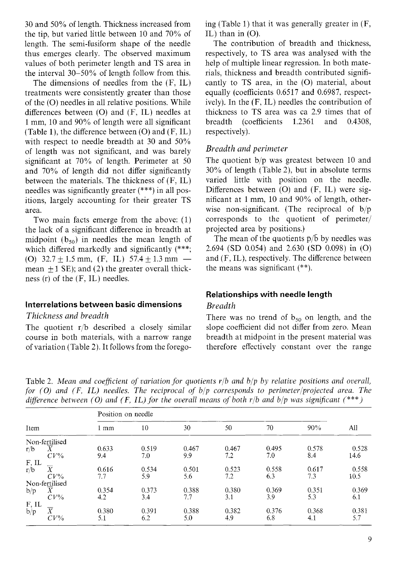30 and 50% of length. Thickness increased from the tip, but varied little between 10 and 70% of length. The semi-fusiform shape of the needle thus emerges clearly. The observed maximum values of both perimeter length and TS area in the interval 30-50% of length follow from this.

The dimensions of needles from the (F, IL) treatments were consistently greater than those of the (0) needles in all relative positions. While differences between  $(O)$  and  $(F, IL)$  needles at 1 mm, 10 and 90% of length were all significant (Table 1), the difference between  $(O)$  and  $(F, IL)$ with respect to needle breadth at 30 and 50% of length was not significant, and was barely significant at 70% of length. Perimeter at 50 and 70% of length did not differ significantly between the materials. The thickness of (F, IL) needles was significantly greater (\*\*\*) in all positions, largely accounting for their greater TS area.

Two main facts emerge from the above: (1) the lack of a significant difference in breadth at midpoint  $(b_{50})$  in needles the mean length of which differed markedly and significantly (\*\*\*; miapoint ( $\sigma_{50}$ ) in needies the mean length of<br>which differed markedly and significantly (\*\*\*;<br>(O) 32.7 ± 1.5 mm, (F, IL) 57.4 ± 1.3 mm mean  $\pm 1$  SE); and (2) the greater overall thickness (r) of the (F, IL) needles.

#### **Interrelations between basic dimensions**

*Thickness and breadth* 

The quotient r/b described a closely similar course in both materials, with a narrow range of variation (Table 2). It follows from the foregoing (Table 1) that it was generally greater in (F, IL) than in  $(O)$ .

The contribution of breadth and thickness, respectively, to TS area was analysed with the help of multiple linear regression. In both materials, thickness and breadth contributed significantly to TS area, in the (0) material, about equally (coefficients 0.6517 and 0.6987, respectively). In the (F, IL) needles the contribution of thickness to TS area was ca 2.9 times that of breadth (coefficients 1.2361 and 0.4308, respectively).

#### *Breadth and perimeter*

The quotient b/p was greatest between 10 and 30% of length (Table 2), but in absolute terms varied little with position on the needle. Differences between (0) and (F, IL) were significant at 1 mm, 10 and 90% of length, otherwise non-significant. (The reciprocal of b/p corresponds to the quotient of perimeter/ projected area by positions.)

The mean of the quotients  $\bar{p}/\bar{b}$  by needles was 2.694 (SD 0.054) and 2.630 (SD 0.098) in (0) and (F, IL), respectively. The difference between the means was significant (\*\*).

#### **Relationships with needle length**

#### *Breadth*

There was no trend of  $b_{50}$  on length, and the slope coefficient did not differ from zero. Mean breadth at midpoint in the present material was therefore effectively constant over the range

Table 2. *Mean and coeficient of variation for quotients rlb and blp by relative positions and overall, for (O) and (F, IL) needles. The reciprocal of b/p corresponds to perimeter/projected area. The difference between (O) and (F, IL) for the overall means of both r/b and b/p was significant*  $(***)$ 

|                  |                |       | Position on needle |       |       |       |       |       |  |
|------------------|----------------|-------|--------------------|-------|-------|-------|-------|-------|--|
| Item             |                | 1 mm  | 10                 | 30    | 50    | 70    | 90%   | All   |  |
|                  | Non-fertilised |       |                    |       |       |       |       |       |  |
| r/b              | Χ              | 0.633 | 0.519              | 0.467 | 0.467 | 0.495 | 0.578 | 0.528 |  |
|                  | $CV\%$         | 9.4   | 7.0                | 9.9   | 7.2   | 7.0   | 8.4   | 14.6  |  |
|                  |                |       |                    |       |       |       |       |       |  |
| $F, IL$<br>$r/b$ | X              | 0.616 | 0.534              | 0.501 | 0.523 | 0.558 | 0.617 | 0.558 |  |
|                  | $CV\%$         | 7.7   | 5.9                | 5.6   | 7.2   | 6.3   | 7.3   | 10.5  |  |
|                  | Non-fertilised |       |                    |       |       |       |       |       |  |
| b/p              | Χ              | 0.354 | 0.373              | 0.388 | 0.380 | 0.369 | 0.351 | 0.369 |  |
|                  | $CV\%$         | 4.2   | 3.4                | 7.7   | 3.1   | 3.9   | 5.3   | 6.1   |  |
| F, IL            |                |       |                    |       |       |       |       |       |  |
| b/p              | Χ              | 0.380 | 0.391              | 0.388 | 0.382 | 0.376 | 0.368 | 0.381 |  |
|                  | $CV\%$         | 5.1   | 6.2                | 5.0   | 4.9   | 6.8   | 4.1   | 5.7   |  |
|                  |                |       |                    |       |       |       |       |       |  |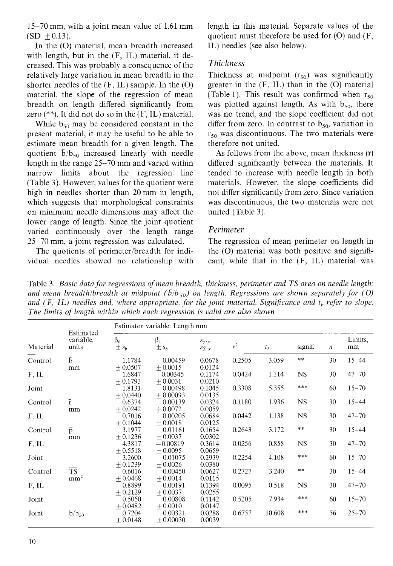15-70 mm, with a joint mean value of 1.61 mm  $(SD + 0.13)$ .

In the (0) material, mean breadth increased with length, but in the (F, IL) material, it decreased. This was probably a consequence of the relatively large variation in mean breadth in the shorter needles of the  $(F, IL)$  sample. In the  $(O)$ material, the slope of the regression of mean breadth on length differed significantly from zero (\*\*). It did not do so in the  $(F, IL)$  material.

While  $b_{50}$  may be considered constant in the present material, it may be useful to be able to estimate mean breadth for a given length. The quotient  $\bar{b}/b_{50}$  increased linearly with needle length in the range 25-70 mm and varied within narrow limits about the regression line (Table 3). However, values for the quotient were high in needles shorter than 20 mm in length, which suggests that morphological constraints on minimum needle dimensions may affect the lower range of length. Since the joint quotient varied continuously over the length range 25-70 mm, a joint regression was calculated.

The quotients of perimeter/breadth for individual needles showed no relationship with length in this material. Separate values of the quotient must therefore be used for  $(O)$  and  $(F, f)$ IL) needles (see also below).

#### *Thickness*

Thickness at midpoint  $(r_{50})$  was significantly greater in the  $(F, IL)$  than in the  $(O)$  material (Table 1). This result was confirmed when  $r_{50}$ was plotted against length. As with  $b_{50}$ , there was no trend, and the slope coefficient did not differ from zero. In contrast to  $b_{50}$ , variation in  $r<sub>50</sub>$  was discontinuous. The two materials were therefore not united.

As follows from the above, mean thickness  $(\bar{r})$ differed significantly between the materials. It tended to increase with needle length in both materials. However, the slope coefficients did not differ significantly from zero. Since variation was discontinuous, the two materials were not united (Table 3).

#### *Perimeter*

The regression of mean perimeter on length in the (0) material was both positive and significant, while that in the (F, IL) material was

Table 3. *Basic data for regressions of mean breadth, thickness, perimeter and TS area on needle length;*  and mean breadth/breadth at midpoint  $(\bar{b}/b_{50})$  on length. Regressions are shown separately for (O) and  $(F, IL)$  needles and, where appropriate, for the joint material. Significance and  $t<sub>b</sub>$  refer to slope. *The limits of length within which each regression is valid are also shown* 

|          | Estimated<br>variable,<br>units    | Estimator variable: Length mm |                        |                                         |        |        |            |                  |               |
|----------|------------------------------------|-------------------------------|------------------------|-----------------------------------------|--------|--------|------------|------------------|---------------|
| Material |                                    | $\beta_0$<br>$\pm s_b$        | $\beta_1$<br>$\pm s_h$ | $S_{y \cdot x}$<br>$S_{\bar{Y}}\cdot_x$ | $r^2$  | $t_b$  | signif.    | $\boldsymbol{n}$ | Limits,<br>mm |
| Control  | Б                                  | 1.1784                        | 0.00459                | 0.0678                                  | 0.2505 | 3.059  | $\ast\ast$ | 30               | $15 - 44$     |
|          | mm                                 | $+0.0507$                     | $+0.0015$              | 0.0124                                  |        |        |            |                  |               |
| F, IL    |                                    | 1.6847                        | $-0.00345$             | 0.1174                                  | 0.0424 | 1.114  | NS.        | 30               | $47 - 70$     |
|          |                                    | $+0.1793$                     | $+0.0031$              | 0.0210                                  |        |        | $****$     |                  |               |
| Joint    |                                    | 1.8131                        | 0.00498                | 0.1045                                  | 0.3308 | 5.355  |            | 60               | $15 - 70$     |
| Control  | $\bar{r}$                          | $+0.0440$<br>0.6374           | $+0.00093$<br>0.00139  | 0.0135<br>0.0324                        | 0.1180 | 1.936  | NS         | 30               | $15 - 44$     |
|          | mm                                 | $+0.0242$                     | $+0.0072$              | 0.0059                                  |        |        |            |                  |               |
| $F$ , IL |                                    | 0.7016                        | 0.00205                | 0.0684                                  | 0.0442 | 1.138  | NS         | 30               | $47 - 70$     |
|          |                                    | $+0.1044$                     | $+0.0018$              | 0.0125                                  |        |        |            |                  |               |
| Control  | $\overline{p}$                     | 3.1977                        | 0.01161                | 0.1654                                  | 0.2643 | 3.172  | **         | 30               | $15 - 44$     |
|          | mm                                 | $+0.1236$                     | $+0.0037$              | 0.0302                                  |        |        |            |                  |               |
| $F$ , IL |                                    | 4.3817                        | $-0.00819$             | 0.3614                                  | 0.0256 | 0.858  | NS.        | 30               | $47 - 70$     |
|          |                                    | $+0.5518$                     | $+0.0095$              | 0.0659                                  |        |        |            |                  |               |
| Joint    |                                    | 3.2600                        | 0.01075                | 0.2939                                  | 0.2254 | 4.108  | $***$      | 60               | $15 - 70$     |
|          |                                    | $+0.1239$                     | $+0.0026$              | 0.0380                                  |        |        | **         |                  |               |
| Control  | $\overline{\text{TS}}$             | 0.6016                        | 0.00450                | 0.0627                                  | 0.2727 | 3.240  |            | 30               | $15 - 44$     |
|          | mm <sup>2</sup>                    | $+0.0468$                     | $+0.0014$              | 0.0115                                  |        |        |            |                  |               |
| $F$ , IL |                                    | 0.8899<br>$+0.2129$           | 0.00191<br>$+0.0037$   | 0.1394<br>0.0255                        | 0.0095 | 0.518  | NS.        | 30               | $47 - 70$     |
| Joint    |                                    | 0.5050                        | 0.00808                | 0.1142                                  | 0.5205 | 7.934  | ***        | 60               | $15 - 70$     |
|          |                                    | $+0.0482$                     | $+0.0010$              | 0.0147                                  |        |        |            |                  |               |
| Joint    | $\bar{\mathrm{b}}/\mathrm{b}_{50}$ | 0.7204                        | 0.00321                | 0.0288                                  | 0.6757 | 10.608 | ***        | 56               | $25 - 70$     |
|          |                                    | $+0.0148$                     | $+0.00030$             | 0.0039                                  |        |        |            |                  |               |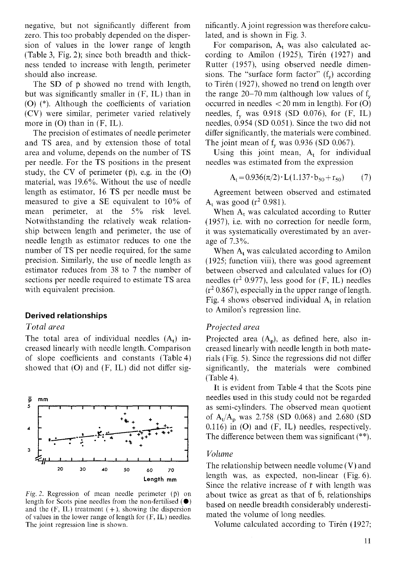negative, but not significantly different from zero. This too probably depended on the dispersion of values in the lower range of length (Table 3, Fig. 2); since both breadth and thickness tended to increase with length, perimeter should also increase.

The SD of  $\bar{p}$  showed no trend with length, but was significantly smaller in (F, IL) than in (0) (\*). Although the coefficients of variation (CV) were similar, perimeter varied relatively more in  $(O)$  than in  $(F, IL)$ .

The precision of estimates of needle perimeter and TS area, and by extension those of total area and volume, depends on the number of TS per needle. For the TS positions in the present study, the CV of perimeter  $(\bar{p})$ , e.g. in the  $(O)$ material, was 19.6%. Without the use of needle length as estimator, 16 TS per needle must be measured to give a SE equivalent to 10% of mean perimeter, at the 5% risk level. Notwithstanding the relatively weak relationship between length and perimeter, the use of needle length as estimator reduces to one the number of TS per needle required, for the same precision. Similarly, the use of needle length as estimator reduces from 38 to 7 the number of sections per needle required to estimate TS area with equivalent precision.

#### **Derived relationships**

#### *Total area*

The total area of individual needles  $(A_t)$  increased linearly with needle length. Comparison of slope coefficients and constants (Table4) showed that  $(O)$  and  $(F, IL)$  did not differ sig-



Fig. 2. Regression of mean needle perimeter  $(\bar{p})$  on length for Scots pine needles from the non-fertilised  $(\bullet)$ and the  $(F, IL)$  treatment  $(+)$ , showing the dispersion of values in the lower range of length for (F. IL) needles. The joint regression line is shown.

nificantly. A joint regression was therefore calculated, and is shown in Fig. 3.

For comparison,  $A_t$  was also calculated according to Amilon (1925), Tirén (1927) and Rutter (1957), using observed needle dimensions. The "surface form factor"  $(f_v)$  according to Tirén (1927), showed no trend on length over the range  $20-70$  mm (although low values of  $f_{v}$ occurred in needles < 20 mm in length). For (0) needles,  $f_v$  was 0.918 (SD 0.076), for  $(F, IL)$ needles, 0.954 (SD 0.051). Since the two did not differ significantly, the materials were combined. The joint mean of  $f_v$  was 0.936 (SD 0.067).

Using this joint mean,  $A_t$  for individual needles was estimated from the expression

$$
A_{t} = 0.936(\pi/2) \cdot L(1.137 \cdot b_{50} + r_{50}) \tag{7}
$$

Agreement between observed and estimated  $A_t$  was good ( $r^2$  0.981).

When  $A_t$  was calculated according to Rutter (1957), i.e. with no correction for needle form, it was systematically overestimated by an average of 7.3%.

When A<sub>t</sub> was calculated according to Amilon (1925; function viii), there was good agreement between observed and calculated values for (0) needles  $(r^2 0.977)$ , less good for  $(F, IL)$  needles  $(r^2 0.867)$ , especially in the upper range of length. Fig. 4 shows observed individual  $A_t$  in relation to Amilon's regression line.

#### *Projected area*

Projected area  $(A_n)$ , as defined here, also increased linearly with needle length in both materials (Fig. 5). Since the regressions did not differ significantly, the materials were combined (Table 4).

It is evident from Table 4 that the Scots pine needles used in this study could not be regarded as semi-cylinders. The observed mean quotient of  $A_t/A_p$  was 2.758 (SD 0.068) and 2.680 (SD  $0.116$ ) in  $(O)$  and  $(F, IL)$  needles, respectively. The difference between them was significant (\*\*).

#### *Volume*

The relationship between needle volume (V) and length was, as expected, non-linear (Fig. 6). Since the relative increase of  $\bar{r}$  with length was about twice as great as that of  $\bar{b}$ , relationships based on needle breadth considerably underestimated the volume of long needles.

Volume calculated according to Tirén (1927;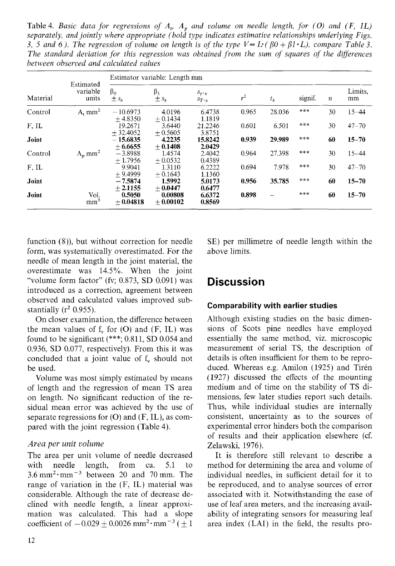Table 4. *Basic data for regressions of*  $A_t$ ,  $A_p$  and volume on needle length, for (O) and (F, IL) *separately, and jointly where appropriate (bold type indicates estimative relationships underlying Figs. 3, 5 and 6). The regression of volume on length is of the type*  $V = L \cdot (\beta 0 + \beta 1 \cdot L)$ *, compare Table 3. The standard deviation for this regression was obtained from the sum of squares of the diflerences between obseroed and calculated values* 

| Material | Estimated<br>variable<br>units | Estimator variable: Length mm |                        |                                          |       |         |         |    |               |
|----------|--------------------------------|-------------------------------|------------------------|------------------------------------------|-------|---------|---------|----|---------------|
|          |                                | $\beta_0$<br>$\pm s_h$        | $\beta_1$<br>$\pm s_h$ | $S_{y \cdot x}$<br>$S_{\bar{Y} \cdot x}$ | $r^2$ | $t_{h}$ | signif. | n  | Limits.<br>mm |
| Control  | $A_{t}$ mm <sup>2</sup>        | $-10.6973$<br>$+4.8350$       | 4.0196<br>$+0.1434$    | 6.4738<br>1.1819                         | 0.965 | 28.036  | ***     | 30 | $15 - 44$     |
| F, IL    |                                | 19.2671<br>$+32.4052$         | 3.6440<br>$+0.5605$    | 21.2246<br>3.8751                        | 0.601 | 6.501   | ***     | 30 | $47 - 70$     |
| Joint    |                                | $-15.6835$<br>$+6.6655$       | 4.2235<br>$+0.1408$    | 15.8242<br>2.0429                        | 0.939 | 29.989  | ***     | 60 | $15 - 70$     |
| Control  | $A_p$ mm <sup>2</sup>          | $-3.8988$<br>$+1.7956$        | 1.4574<br>$+0.0532$    | 2.4042<br>0.4389                         | 0.964 | 27.398  | ***     | 30 | $15 - 44$     |
| F.IL     |                                | 9.9041<br>$+9.4999$           | 1.3110<br>$+0.1643$    | 6.2222<br>1.1360                         | 0.694 | 7.978   | $***$   | 30 | $47 - 70$     |
| Joint    |                                | $-7.5874$<br>$+2.1155$        | 1.5992<br>$+0.0447$    | 5.0173<br>0.6477                         | 0.956 | 35.785  | ***     | 60 | $15 - 70$     |
| Joint    | Vol.<br>mm <sup>3</sup>        | 0.5050<br>$+0.04818$          | 0.00808<br>$+0.00102$  | 6.6372<br>0.8569                         | 0.898 |         | ***     | 60 | $15 - 70$     |

function (8)), but without correction for needle form, was systematically overestimated. For the needle of mean length in the joint material, the overestimate was 14.5%. When the joint "volume form factor" (fv; 0.873, SD 0.091) was introduced as a correction, agreement between observed and calculated values improved substantially ( $r^2$  0.955).

On closer examination, the difference between the mean values of  $f_v$  for (O) and (F, IL) was found to be significant (\*\*\*; 0.811, SD 0.054 and 0.936, SD 0.077, respectively). From this it was concluded that a joint value of  $f_v$  should not be used.

Volume was most simply estimated by means of length and the regression of mean TS area on length. No significant reduction of the residual mean error was achieved by the use of separate regressions for  $(O)$  and  $(F, IL)$ , as compared with the joint regression (Table 4).

#### *Area per unit volume*

The area per unit volume of needle decreased with needle length, from ca. 5.1 to  $3.6 \text{ mm}^2 \cdot \text{mm}^{-3}$  between 20 and 70 mm. The range of variation in the (F, IL) material was considerable. Although the rate of decrease declined with needle length, a linear approximation was calculated. This had a slope coefficient of  $-0.029 + 0.0026$  mm<sup>2</sup>·mm<sup>-3</sup> ( $\pm 1$ )

SE) per millimetre of needle length within the above limits.

### **Discussion**

#### **Comparability with earlier studies**

Although existing studies on the basic dimensions of Scots pine needles have employed essentially the same method, viz. microscopic measurement of serial TS, the description of details is often insufficient for them to be reproduced. Whereas e.g. Amilon (1925) and Tirén (1927) discussed the effects of the mounting medium and of time on the stability of TS dimensions, few later studies report such details. Thus, while individual studies are internally consistent, uncertainty as to the sources of experimental error hinders both the comparison of results and their application elsewhere (cf. Zelawski, 1976).

It is therefore still relevant to describe a method for determining the area and volume of individual needles, in sufficient detail for it to be reproduced, and to analyse sources of error associated with it. Notwithstanding the ease of use of leaf area meters, and the increasing availability of integrating sensors for measuring leaf area index (LAI) in the field, the results pro-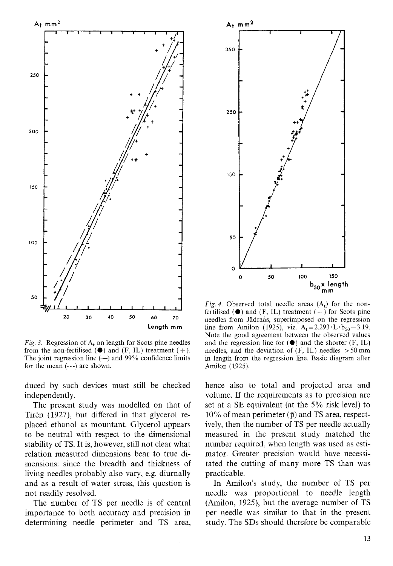

**Fig.** 3. Regression of A, on length for Scots pine needles from the non-fertilised  $(\bullet)$  and  $(F, IL)$  treatment  $(+)$ . The joint regression line  $(-)$  and 99% confidence limits for the mean (---) are shown.

duced by such devices must still be checked independently.

The present study was modelled on that of Tirén (1927), but differed in that glycerol replaced ethanol as mountant. Glycerol appears to be neutral with respect to the dimensional stability of TS. It is, however, still not clear what relation measured dimensions bear to true dimensions: since the breadth and thickness of living needles probably also vary, e.g. diurnally and as a result of water stress, this question is not readily resolved.

The number of TS per needle is of central importance to both accuracy and precision in determining needle perimeter and TS area,



Fig. 4. Observed total needle areas  $(A_t)$  for the nonfertilised  $(\bullet)$  and  $(F, IL)$  treatment  $(+)$  for Scots pine needles from Jadrabs, superimposed on the regression line from Amilon (1925), viz.  $A_t = 2.293 \cdot L \cdot b_{50} - 3.19$ . Note the good agreement between the observed values and the regression line for  $(\bullet)$  and the shorter  $(F, IL)$ needles, and the deviation of  $(F, IL)$  needles  $> 50$  mm in length from the regression line. Basic diagram after Amilon (1925).

hence also to total and projected area and volume. If the requirements as to precision are set at a SE equivalent (at the 5% risk level) to  $10\%$  of mean perimeter ( $\bar{p}$ ) and TS area, respectively, then the number of TS per needle actually measured in the present study matched the number required, when length was used as estimator. Greater precision would have necessitated the cutting of many more TS than was practicable.

In Amilon's study, the number of TS per needle was proportional to needle length (Amilon, 1925), but the average number of TS per needle was similar to that in the present study. The SDs should therefore be comparable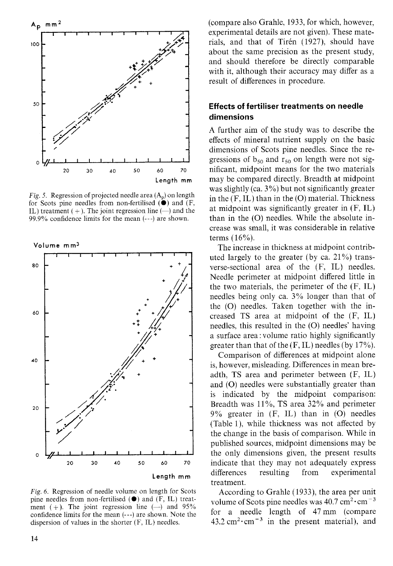

**Fig.** *5.* Regression of projected needle area **(A,)** on length for Scots pine needles from non-fertilised **(e)** and (F, IL) treatment  $(+)$ . The joint regression line  $(-)$  and the 99.9% confidence limits for the mean (---) are shown.



Fig. 6. Regression of needle volume on length for Scots pine needles from non-fertilised **(e)** and (F; IL) treatment (+). The joint regression line  $(-)$  and 95% confidence limits for the mean (---) are shown. Note the dispersion of values in the shorter (F, IL) needles.

(compare also Grahle, 1933, for which, however, experimental details are not given). These materials, and that of Tirén (1927), should have about the same precision as the present study, and should therefore be directly comparable with it, although their accuracy may differ as a result of differences in procedure.

#### **Effects of fertiliser treatments on needle dimensions**

A further aim of the study was to describe the effects of mineral nutrient supply on the basic dimensions of Scots pine needles. Since the regressions of  $b_{50}$  and  $r_{50}$  on length were not significant, midpoint means for the two materials may be compared directly. Breadth at midpoint was slightly (ca. 3%) but not significantly greater in the  $(F, IL)$  than in the  $(O)$  material. Thickness at midpoint was significantly greater in (F, IL) than in the (0) needles. While the absolute increase was small, it was considerable in relative terms (16%).

The increase in thickness at midpoint contributed largely to the greater (by ca. 21%) transverse-sectional area of the (F, IL) needles. Needle perimeter at midpoint differed little in the two materials, the perimeter of the (F, IL) needles being only ca. 3% longer than that of the (0) needles. Taken together with the increased TS area at midpoint of the (F, IL) needles, this resulted in the (0) needles' having a surface area : volume ratio highly significantly greater than that of the  $(F, IL)$  needles (by 17%).

Comparison of differences at midpoint alone is, however, misleading. Differences in mean breadth, TS area and perimeter between (F, IL) and (0) needles were substantially greater than is indicated by the midpoint comparison: Breadth was 11%, TS area 32% and perimeter  $9\%$  greater in  $(F, IL)$  than in  $(O)$  needles (Table I), while thickness was not affected by the change in the basis of comparison. While in published sources, midpoint dimensions may be the only dimensions given, the present results indicate that they may not adequately express differences resulting from experimental treatment.

According to Grahle (1933), the area per unit volume of Scots pine needles was  $40.7 \text{ cm}^2 \cdot \text{cm}^{-3}$ for a needle length of 47mm (compare  $43.2 \text{ cm}^2 \cdot \text{cm}^{-3}$  in the present material), and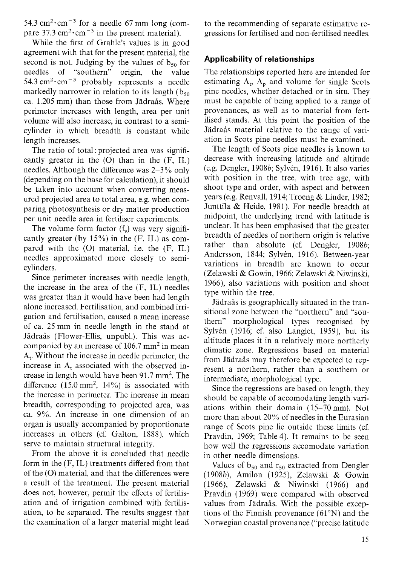54.3  $\text{cm}^2 \cdot \text{cm}^{-3}$  for a needle 67 mm long (compare  $37.3 \text{ cm}^2 \cdot \text{cm}^{-3}$  in the present material).

While the first of Grahle's values is in good agreement with that for the present material, the second is not. Judging by the values of  $b_{50}$  for needles of "southern" origin, the value 54.3  $\text{cm}^{-3}$  probably represents a needle markedly narrower in relation to its length ( $b_{50}$ ) ca. 1.205 mm) than those from Jadrais. Where perimeter increases with length, area per unit volume will also increase, in contrast to a semicylinder in which breadth is constant while length increases.

The ratio of total : projected area was significantly greater in the  $(O)$  than in the  $(F, IL)$ needles. Although the difference was 2-3% only (depending on the base for calculation), it should be taken into account when converting measured projected area to total area, e.g. when comparing photosynthesis or dry matter production per unit needle area in fertiliser experiments.

The volume form factor  $(f_v)$  was very significantly greater (by  $15\%$ ) in the (F, IL) as compared with the (0) material, i.e. the (F, IL) needles approximated more closely to semicylinders.

Since perimeter increases with needle length, the increase in the area of the (F, IL) needles was greater than it would have been had length alone increased. Fertilisation, and combined irrigation and fertilisation, caused a mean increase of ca. 25 mm in needle length in the stand at Jädraås (Flower-Ellis, unpubl.). This was accompanied by an increase of  $106.7$  mm<sup>2</sup> in mean  $A_t$ . Without the increase in needle perimeter, the increase in A, associated with the observed increase in length would have been 91.7 mm2. The difference  $(15.0 \text{ mm}^2, 14\%)$  is associated with the increase in perimeter. The increase in mean breadth, corresponding to projected area, was ca. 9%. An increase in one dimension of an organ is usually accompanied by proportionate increases in others (cf. Galton, 1888), which serve to maintain structural integrity.

From the above it is concluded that needle form in the (F, IL) treatments differed from that of the (0) material, and that the differences were a result of the treatment. The present material does not, however, permit the effects of fertilisation and of irrigation combined with fertilisation, to be separated. The results suggest that the examination of a larger material might lead to the recommending of separate estimative regressions for fertilised and non-fertilised needles.

#### **Applicability of relationships**

The relationships reported here are intended for estimating  $A_t$ ,  $A_p$  and volume for single Scots pine needles, whether detached or in situ. They must be capable of being applied to a range of provenances, as well as to material from fertilised stands. At this point the position of the Jädraås material relative to the range of variation in Scots pine needles must be examined.

The length of Scots pine needles is known to decrease with increasing latitude and altitude (e.g. Dengler, 1908b; Sylven, 1916). It also varies with position in the tree, with tree age, with shoot type and order, with aspect and between years (e.g. Renvall, 1914; Troeng & Linder, 1982; Junttila & Heide, 1981). For needle breadth at midpoint, the underlying trend with latitude is unclear. It has been emphasised that the greater breadth of needles of northern origin is relative rather than absolute (cf. Dengler, 1908b; Andersson, 1844; Sylvén, 1916). Between-year variations in breadth are known to occur (Zelawski & Gowin, 1966; Zelawski & Niwinski, 1966), also variations with position and shoot type within the tree.

Jädraås is geographically situated in the transitional zone between the "northern" and "southern" morphological types recognised by Sylvén (1916; cf. also Langlet, 1959), but its altitude places it in a relatively more northerly climatic zone. Regressions based on material from Jadrais may therefore be expected to represent a northern, rather than a southern or intermediate, morphological type.

Since the regressions are based on length, they should be capable of accomodating length variations within their domain (15-70 mm). Not more than about 20% of needles in the Eurasian range of Scots pine lie outside these limits (cf. Pravdin, 1969; Table 4). It remains to be seen how well the regressions accomodate variation in other needle dimensions.

Values of  $b_{50}$  and  $r_{50}$  extracted from Dengler (1908b), Amilon (1925), Zelawski & Gowin (1966), Zelawski & Niwinski (1966) and Pravdin (1969) were compared with observed values from Jadrais. With the possible exceptions of the Finnish provenance  $(61°N)$  and the Norwegian coastal provenance ("precise latitude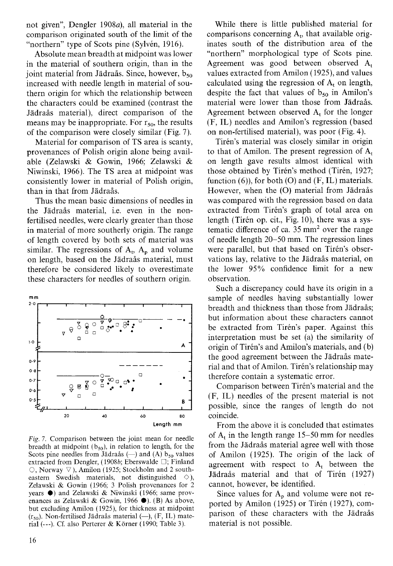not given", Dengler 1908a), all material in the comparison originated south of the limit of the "northern" type of Scots pine (Sylvén, 1916).

Absolute mean breadth at midpoint was lower in the material of southern origin, than in the joint material from Jädraås. Since, however,  $b_{50}$ increased with needle length in material of southern origin for which the relationship between the characters could be examined (contrast the Jadrais material), direct comparison of the means may be inappropriate. For  $r_{50}$ , the results of the comparison were closely similar (Fig. 7).

Material for comparison of TS area is scanty, provenances of Polish origin alone being available (Zelawski & Gowin, 1966; Zelawski & Niwinski, 1966). The TS area at midpoint was consistently lower in material of Polish origin, than in that from Jädraås.

Thus the mean basic dimensions of needles in the Jadrais material, i.e. even in the nonfertilised needles, were clearly greater than those in material of more southerly origin. The range of length covered by both sets of material was similar. The regressions of  $A_t$ ,  $A_p$  and volume on length, based on the Jadrais material, must therefore be considered likely to overestimate these characters for needles of southern origin.



Fig. 7. Comparison between the joint mean for needle breadth at midpoint  $(b_{50})$ , in relation to length, for the Scots pine needles from Jädraås (--) and (A)  $b_{50}$  values extracted from Dengler, (1908b; Eberswalde  $\Box$ ; Finland  $\circlearrowright$ . Norway  $\nabla$ ), Amilon (1925; Stockholm and 2 southeastern Swedish materials, not distinguished  $\Diamond$ ), Zelawski & Gowin (1966; 3 Polish provenances for 2 years 0) and Zelawski & Niwinski (1966; same provenances as Zelawski & Gowin, 1966 0). (B) As above, but excluding Amilon (1925), for thickness at midpoint  $(r_{50})$ . Non-fertilised Jädraås material (--), (F, IL) material (---). Cf. also Perterer & Korner (1990; Table 3).

While there is little published material for comparisons concerning  $A_t$ , that available originates south of the distribution area of the "northern" morphological type of Scots pine. Agreement was good between observed A, values extracted from Amilon (1925), and values calculated using the regression of  $A_t$  on length, despite the fact that values of  $b_{50}$  in Amilon's material were lower than those from Jädraås. Agreement between observed  $A_t$  for the longer (F, IL) needles and Amilon's regression (based on non-fertilised material), was poor (Fig. 4).

Tirén's material was closely similar in origin to that of Amilon. The present regression of  $A_t$ on length gave results almost identical with those obtained by Tirén's method (Tirén, 1927; function  $(6)$ ), for both  $(0)$  and  $(F, IL)$  materials. However, when the (O) material from Jädraås was compared with the regression based on data extracted from Tirén's graph of total area on length (Tirén op. cit., Fig. 10), there was a systematic difference of ca.  $35 \text{ mm}^2$  over the range of needle length 20-50 mm. The regression lines were parallel, but that based on Tirén's observations lay, relative to the Jädraås material, on the lower 95% confidence limit for a new observation.

Such a discrepancy could have its origin in a sample of needles having substantially lower breadth and thickness than those from Jädraås; but information about these characters cannot be extracted from Tirén's paper. Against this interpretation must be set (a) the similarity of origin of Tirén's and Amilon's materials, and (b) the good agreement between the Jadrais material and that of Amilon. Tirén's relationship may therefore contain a systematic error.

Comparison between Tirén's material and the (F, IL) needles of the present material is not possible, since the ranges of length do not coincide.

From the above it is concluded that estimates of  $A_t$  in the length range 15–50 mm for needles from the Jadrais material agree well with those of Amilon (1925). The origin of the lack of agreement with respect to  $A_t$  between the Jädraås material and that of Tirén (1927) cannot, however, be identified.

Since values for  $A_p$  and volume were not reported by Amilon (1925) or Tirén (1927), comparison of these characters with the Jädraås material is not possible.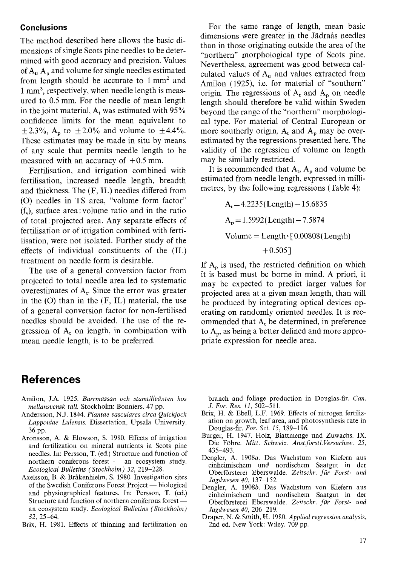#### **Conclusions**

The method described here allows the basic dimensions of single Scots pine needles to be determined with good accuracy and precision. Values of  $A_t$ ,  $A_n$  and volume for single needles estimated from length should be accurate to  $1 \text{ mm}^2$  and 1 mm3, respectively, when needle length is measured to 0.5 mm. For the needle of mean length in the joint material,  $A_t$  was estimated with 95% confidence limits for the mean equivalent to  $\pm 2.3\%$ , A<sub>p</sub> to  $\pm 2.0\%$  and volume to  $\pm 4.4\%$ . These estimates may be made in situ by means of any scale that permits needle length to be measured with an accuracy of  $\pm 0.5$  mm.

Fertilisation, and irrigation combined with fertilisation, increased needle length, breadth and thickness. The (F, IL) needles differed from (0) needles in TS area, "volume form factor" (f,), surface area: volume ratio and in the ratio of total :projected area. Any separate effects of fertilisation or of irrigation combined with fertilisation, were not isolated. Further study of the effects of individual constituents of the (IL) treatment on needle form is desirable.

The use of a general conversion factor from projected to total needle area led to systematic overestimates of  $A_t$ . Since the error was greater in the  $(O)$  than in the  $(F, IL)$  material, the use of a general conversion factor for non-fertilised needles should be avoided. The use of the regression of  $A_t$  on length, in combination with mean needle length, is to be preferred.

### **References**

- Amilon, J.A. *1925. Barrmassan och stamtillvaxten hos mellansvensk tall.* Stockholm: Bonniers. *47* pp.
- Anderson, N.J. *1844. Plantae oasculares circa Quickjock Lapponiae Lulensis.* Dissertation, Upsala University. *36* PP.
- Aronsson, A. & Elowson, S. *1980.* Effects of irrigation and fertilization on mineral nutrients in Scots pine needles. In: Persson, T. (ed.) Structure and function of northern coniferous forest  $-$  an ecosystem study. *Ecological Bulletins (Stockholm) 32, 219-228.*
- Ecological Bulletins (Stockholm) 32, 219–228.<br>Axelsson, B. & Bråkenhielm, S. 1980. Investigation sites<br>of the Swedish Coniferous Forest Project biological and physiographical features. In: Persson, T. (ed.) of the Swedish Coniferous Forest Project — biological<br>and physiographical features. In: Persson, T. (ed.)<br>Structure and function of northern coniferous forest —<br>within (Stackholm) an ecosystem study. *Ecological Bulletins (Stockholm) 32, 25-64.*
- Brix, H. *1981.* Effects of thinning and fertilization on

For the same range of length, mean basic dimensions were greater in the Jadrais needles than in those originating outside the area of the "northern" morphological type of Scots pine. Nevertheless, agreement was good between calculated values of  $A_t$ , and values extracted from Amilon (1925), i.e. for material of "southern" origin. The regressions of  $A_t$  and  $A_p$  on needle length should therefore be valid within Sweden beyond the range of the "northern" morphological type. For material of Central European or more southerly origin,  $A_t$  and  $A_p$  may be overestimated by the regressions presented here. The validity of the regression of volume on length may be similarly restricted.

It is recommended that  $A_t$ ,  $A_p$  and volume be estimated from needle length, expressed in millimetres, by the following regressions (Table 4):

> $A_t = 4.2235$  (Length)  $- 15.6835$  $A_p = 1.5992$ (Length) - 7.5874  $Volume = Length \cdot [0.00808(Length)]$  $+ 0.505$ ]

If  $A_p$  is used, the restricted definition on which it is based must be borne in mind. A priori, it may be expected to predict larger values for projected area at a given mean length, than will be produced by integrating optical devices operating on randomly oriented needles. It is recommended that  $A_t$  be determined, in preference to  $A_p$ , as being a better defined and more appropriate expression for needle area.

branch and foliage production in Douglas-fir. *Can. J. For. Res. 11, 502-511.* 

- Brix, H. & Ebell, L.F. *1969.* Effects of nitrogen fertilization on growth, leaf area, and photosynthesis rate in Douglas-fir. *For. Sci.* 15, *189-196.*
- Burger, *H. 1947.* Holz, Blattmenge und Zuwachs. IX. Die Fohre. *Mitt. Schweiz. Anstforstl.Versuchsw. 25, 435-493.*
- Dengler, A. *1908a.* Das Wachstum von Kiefern aus einheimischem und nordischem Saatgut in der Oberforsterei Eberswalde. *Zeitschr. fur Forst- und Jagdwesen 40, 137-152.*
- Dengler, A. *1908b.* Das Wachstum von Kiefern aus einheimischem und nordischem Saatgut in Oberforsterei Eberswalde. *Zeitschr. fur Forst- und Jagdwesen 40, 206-219.*
- Draper, N. & Smith, H. *1980. Applied regression analysis,*  2nd ed. New York: Wiley. *709* pp.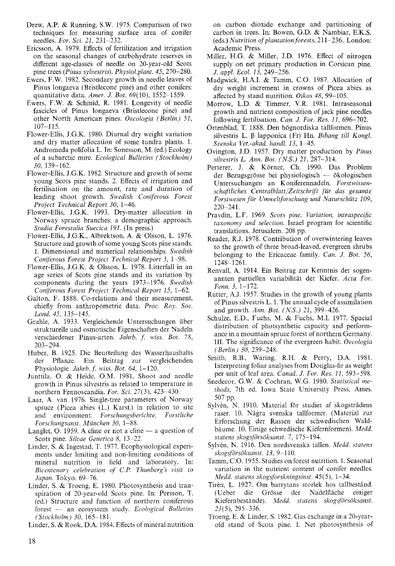- Drew, A.P. & Running, S.W. 1975. Comparison of two techniques for measuring surface area of conifer needles. *For. Sci.* 21, 231-232.
- Ericsson, **A.** 1979. Effects of fertilization and irrigation on the seasonal changes of carbohydrate reserves in different age-classes of needle on 20-year-old Scots pine trees *(Pinus sylvestris). Physiol.plant.* 45,270-280.
- Ewers, F.W. 1982. Secondary growth in needle leaves of Pinus longaeva (Bristlecone pine) and other conifers: quantitative data. *Amer. J. Bot.* 69(10), 1552-1559.
- Ewers, F.W. & Schmid, R. 1981. Longevity of needle fascicles of Pinus longaeva (Bristlecone pine) and other North American pines. *Oecologia (Berlin)* 51, 107-115.
- Flower-Ellis, J.G.K. 1980. Diurnal dry weight variation and dry matter allocation of some tundra plants. 1. Andromeda polifolia L. In: Sonesson, M. (ed.) Ecology of a subarctic mire. *Ecological Bulletins (Stockholm)*  30, 139-162.
- Flower-Ellis, J.G.K. 1982. Structure and growth of some young Scots pine stands. 2. Effects of irrigation and fertilisation on the amount, rate and duration of leading shoot growth. *Swedish Coniferous Forest Project Technical Report* 30, 1-46.
- Flower-Ellis, J.G.K. 1993. Dry-matter allocation in Norway spruce branches: a demographic approach. *Studia Forestalia Suecica* 191. (In press.)
- Flower-Ellis, J.G.K., Albrektson, A. & Olsson, L. 1976. Structure and growth of some young Scots pine stands. 1. Dimensional and numerical relationships. *Swedish Conijerous Forest Project Technical Report* 3, 1-98.
- Flower-Ellis, J.G.K. & Olsson. L. 1978. Litterfall in an age series of Scots pine stands and its variation by components during the years 1973-1976. *Swedish Conijerous Forest Project Technical Report* 15, 1-62.
- Galton, F. 1888. Co-relations and their measurement, chiefly from anthropometric data. *Proc. Roy. Soc. Lond. 45,* 135-145.
- Grahle, A. 1933. Vergleichende Untersuchungen iiber strukturelle und osmotische Eigenschaften der Nadeln verschiedener Pinus-arten. *Jahrb. f. wiss. Bot.* 78, 203-294.
- Huber, B. 1925. Die Beurteilung des Wasserhaushalts der Pflanze. Ein Beitrag zur vergleichenden Physiologie. *Jahrb. f. wiss. Bot.* 64, 1-120.
- Junttila; 0. & Heide, O.M. 1981. *Shoot* and needle growth in Pinus silvestris as related to temperature in northern Fennoscandia. *For. Sci.* 27(3), 423-430.
- Laar, A. van 1976. Single-tree parameters of Norway spruce (Picea abies (L.) Karst.) in relation to site and environment. *Forschungsberichte, Forstliche Forschungsanst. Miinchen* 30, 1-88.
- Langlet, O. 1959. A cline or not a cline  $-$  a question of Scots pine. *Siluae Genetica 8,* 13-22.
- Linder, S. & Ingestad, T. 1977. Ecophysiological experiments under limiting and non-limiting conditions of mineral nutrition in field and laboratory. In: *Bicentenary celebration of C.P. Thunberg's visit to Jupan.* Tokyo. 69-76.
- Linder, S. & Troeng, E. 1980. Photosynthesis and transpiration of 20-year-old Scots pine. In: Persson, T. (ed.) Structure and function of northern coniferous spiration of 20-year-old Scots pine. In: Persson, T.<br>(ed.) Structure and function of northern coniferous<br>forest -- an ecosystem study. *Ecological Bulletins (Stockholm)* 30, 165-181.

Linder, S. & Rook, D.A. 1984. Effects of mineral nutrition

on carbon dioxide exchange and partitioning of carbon in trees. In: Bowen, G.D. & Nambiar, E.K.S. (eds.) *Nutrition of plantation forests*, 211–236.. London: Academic Press.

- Miller, H.G. & Miller, J.D. 1976. Effect of nitrogen supply on net primary production in Corsican pine. J. *appl. Ecol.* 13, 249-256.
- Madgwick, H.A.I. & Tamm, C.O. 1987. Allocation of dry weight increment in crowns of Picea abies as affected by stand nutrition. *Oikos* 48, 99-105.
- Morrow, L.D. & Timmer, V.R. 1981. Intraseasonal growth and nutrient composition of jack pine needles following fertilisation. *Can. J. For. Res.* 11, 696-702.
- Ortenblad, T. 1888. Den hognordiska tallformen. Pinus silvestris L. β lapponica (Fr) Hn. *Bihang till Kongl*. *Svenska Vet.-akad. handl.* 13, 1-45.
- Ovington, J.D. 1957. Dry matter production by *Pinus silvestris* L. *Ann. Bot. (N.S.)* 21, 287-314.
- silvestris L. Ann. Bot. (N.S.) 21, 287–314.<br>Perterer, J. & Körner, Ch. 1990. Das Problem<br>der Bezugsgrösse bei physiologisch ökologischen Untersuchungen an Koniferennadeln. *Forstwissenschaftliches CentralblattiZeitschrift fur das gesamte Forstwesen fur Umweltforschung und Naturschutz* 109,  $220 - 241$ .
- Pravdin, L.F. 1969. *Scots pine. Variation, intraspecijic taxonomy and selection.* Israel program for scientific translations. Jerusalem. 208 pp.
- Reader, R.J. 1978. Contribution of overwintering leaves to the growth of three broad-leaved, evergreen shrubs belonging to the Ericaceae family. *Can. J. Bot. 56,*  1248-1261.
- Renvall, **A.** 1914. Ein Beitrag zur Kenntnis der sogenannten partiellen variabilitat der Kiefer. *Acta For. Fenn.* 3, 1-172.
- Rutter, A.J. 1957. Studies in the growth of young plants of Pinus silvestris L. 1. The annual cycle of assimilation and growth. *Ann. Bot. (N.S.)* 21, 399-426.
- Schulze, E.D., Fuchs, M. & Fuchs, M.1. 1977. Spacial distribution of photsynthetic capacity and performance in a mountain spruce forest of northern Germany. 111. The significance of the evergreen habit. *Oecologia (Berlin)* 30, 239-248.
- Smith, R.B., Waring, R.H. & Perry, D.A. 1981. Interpreting foliar analyses from Douglas-fir as weight per unit of leaf area. *Canad. J. For. Res.* 11, 593-598.
- Snedecor, G.W. & Cochran, W.G. 1980. *Statistical methods,* 7th ed. Iowa State University Press, Ames. 507 pp.
- Sylvén, N. 1910. Material för studiet af skogsträdens raser. 10. Några svenska tallformer. (Material zur Erforschung der Rassen der schwedischen Waldbaume. 10. Einige schwedische Kiefernformen). *Medd. statens skogsjorsoksanst.* 7, 175-194.
- Sylven; N. 1916. Den nordsvenska tallen. *Medd. statens skog\$orsoksanst.* 13, 9-110.
- Tamm, C.O. 1955. Studies on forest nutrition. 1. Seasonal variation in the nutrient content of conifer needles. *Medd. statens skogsforskningsinst.* 45(5), 1-34.
- Tirén, L. 1927. Om barrytans storlek hos tallbestånd. (Ueber die Grosse der Nadelflache einiger Kiefernbestände). *Medd. statens skogsförsöksanst.* 23(5), 295-336.
- Troeng, E. & Linder, S. 1982. Gas exchange in a 20-yearold stand of Scots pine. 1. Net photosynthesis of